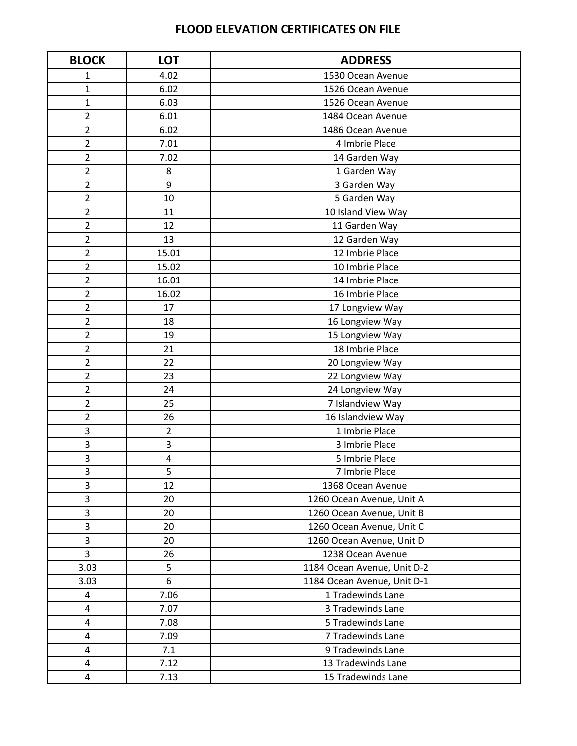| <b>BLOCK</b>            | <b>LOT</b>     | <b>ADDRESS</b>              |
|-------------------------|----------------|-----------------------------|
| 1                       | 4.02           | 1530 Ocean Avenue           |
| $\overline{1}$          | 6.02           | 1526 Ocean Avenue           |
| 1                       | 6.03           | 1526 Ocean Avenue           |
| $\overline{2}$          | 6.01           | 1484 Ocean Avenue           |
| $\overline{2}$          | 6.02           | 1486 Ocean Avenue           |
| 2                       | 7.01           | 4 Imbrie Place              |
| $\overline{\mathbf{c}}$ | 7.02           | 14 Garden Way               |
| $\overline{2}$          | 8              | 1 Garden Way                |
| $\overline{2}$          | 9              | 3 Garden Way                |
| $\overline{2}$          | 10             | 5 Garden Way                |
| 2                       | 11             | 10 Island View Way          |
| $\overline{\mathbf{c}}$ | 12             | 11 Garden Way               |
| $\overline{2}$          | 13             | 12 Garden Way               |
| $\overline{2}$          | 15.01          | 12 Imbrie Place             |
| 2                       | 15.02          | 10 Imbrie Place             |
| $\overline{2}$          | 16.01          | 14 Imbrie Place             |
| $\overline{2}$          | 16.02          | 16 Imbrie Place             |
| 2                       | 17             | 17 Longview Way             |
| $\overline{2}$          | 18             | 16 Longview Way             |
| $\overline{2}$          | 19             | 15 Longview Way             |
| $\overline{2}$          | 21             | 18 Imbrie Place             |
| $\overline{2}$          | 22             | 20 Longview Way             |
| $\overline{2}$          | 23             | 22 Longview Way             |
| $\overline{2}$          | 24             | 24 Longview Way             |
| 2                       | 25             | 7 Islandview Way            |
| $\overline{\mathbf{c}}$ | 26             | 16 Islandview Way           |
| 3                       | $\overline{2}$ | 1 Imbrie Place              |
| 3                       | 3              | 3 Imbrie Place              |
| 3                       | 4              | 5 Imbrie Place              |
| 3                       | 5              | 7 Imbrie Place              |
| 3                       | 12             | 1368 Ocean Avenue           |
| 3                       | 20             | 1260 Ocean Avenue, Unit A   |
| 3                       | 20             | 1260 Ocean Avenue, Unit B   |
| 3                       | 20             | 1260 Ocean Avenue, Unit C   |
| 3                       | 20             | 1260 Ocean Avenue, Unit D   |
| 3                       | 26             | 1238 Ocean Avenue           |
| 3.03                    | 5              | 1184 Ocean Avenue, Unit D-2 |
| 3.03                    | 6              | 1184 Ocean Avenue, Unit D-1 |
| 4                       | 7.06           | 1 Tradewinds Lane           |
| 4                       | 7.07           | 3 Tradewinds Lane           |
| 4                       | 7.08           | 5 Tradewinds Lane           |
| 4                       | 7.09           | 7 Tradewinds Lane           |
| 4                       | 7.1            | 9 Tradewinds Lane           |
| 4                       | 7.12           | 13 Tradewinds Lane          |
| 4                       | 7.13           | 15 Tradewinds Lane          |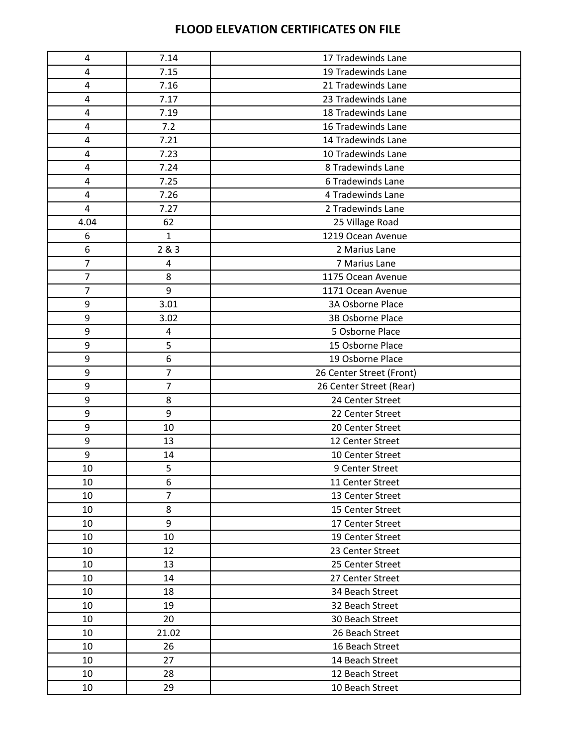| 4                       | 7.14           | 17 Tradewinds Lane       |
|-------------------------|----------------|--------------------------|
| $\overline{\mathbf{4}}$ | 7.15           | 19 Tradewinds Lane       |
| 4                       | 7.16           | 21 Tradewinds Lane       |
| 4                       | 7.17           | 23 Tradewinds Lane       |
| 4                       | 7.19           | 18 Tradewinds Lane       |
| 4                       | 7.2            | 16 Tradewinds Lane       |
| $\overline{\mathbf{4}}$ | 7.21           | 14 Tradewinds Lane       |
| 4                       | 7.23           | 10 Tradewinds Lane       |
| 4                       | 7.24           | 8 Tradewinds Lane        |
| 4                       | 7.25           | 6 Tradewinds Lane        |
| 4                       | 7.26           | 4 Tradewinds Lane        |
| $\overline{4}$          | 7.27           | 2 Tradewinds Lane        |
|                         |                |                          |
| 4.04                    | 62             | 25 Village Road          |
| 6                       | $\mathbf{1}$   | 1219 Ocean Avenue        |
| 6                       | 2&3            | 2 Marius Lane            |
| 7                       | 4              | 7 Marius Lane            |
| 7                       | 8              | 1175 Ocean Avenue        |
| $\overline{7}$          | 9              | 1171 Ocean Avenue        |
| $\boldsymbol{9}$        | 3.01           | 3A Osborne Place         |
| 9                       | 3.02           | 3B Osborne Place         |
| $\boldsymbol{9}$        | 4              | 5 Osborne Place          |
| 9                       | 5              | 15 Osborne Place         |
| 9                       | 6              | 19 Osborne Place         |
| $\boldsymbol{9}$        | $\overline{7}$ | 26 Center Street (Front) |
| 9                       | $\overline{7}$ | 26 Center Street (Rear)  |
| $\boldsymbol{9}$        | 8              | 24 Center Street         |
| 9                       | 9              | 22 Center Street         |
| 9                       | 10             | 20 Center Street         |
| 9                       | 13             | 12 Center Street         |
| 9                       | 14             | 10 Center Street         |
| 10                      | 5              | 9 Center Street          |
| 10                      | 6              | 11 Center Street         |
| 10                      | $\overline{7}$ | 13 Center Street         |
| 10                      | 8              | 15 Center Street         |
| 10                      | 9              | 17 Center Street         |
| 10                      | 10             | 19 Center Street         |
| 10                      | 12             | 23 Center Street         |
| 10                      | 13             | 25 Center Street         |
| 10                      | 14             | 27 Center Street         |
| 10                      | 18             | 34 Beach Street          |
| 10                      | 19             | 32 Beach Street          |
| 10                      | 20             | 30 Beach Street          |
| 10                      | 21.02          | 26 Beach Street          |
| 10                      | 26             | 16 Beach Street          |
| 10                      | 27             | 14 Beach Street          |
| 10                      | 28             | 12 Beach Street          |
| 10                      | 29             | 10 Beach Street          |
|                         |                |                          |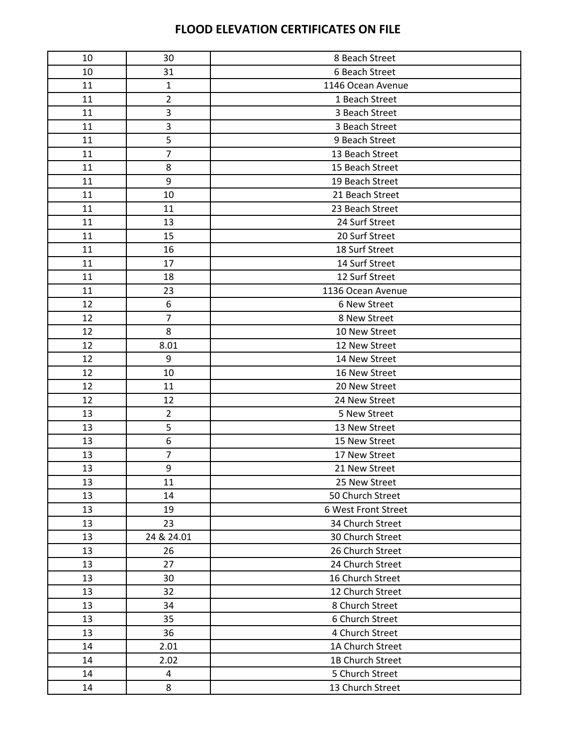| 10 | 30             | 8 Beach Street      |
|----|----------------|---------------------|
| 10 | 31             | 6 Beach Street      |
| 11 | $\mathbf{1}$   | 1146 Ocean Avenue   |
| 11 | $\overline{2}$ | 1 Beach Street      |
| 11 | 3              | 3 Beach Street      |
| 11 | 3              | 3 Beach Street      |
| 11 | 5              | 9 Beach Street      |
| 11 | $\overline{7}$ | 13 Beach Street     |
| 11 | 8              | 15 Beach Street     |
| 11 | 9              | 19 Beach Street     |
| 11 | 10             | 21 Beach Street     |
| 11 | 11             | 23 Beach Street     |
| 11 | 13             | 24 Surf Street      |
| 11 | 15             | 20 Surf Street      |
| 11 | 16             | 18 Surf Street      |
| 11 | 17             | 14 Surf Street      |
| 11 | 18             | 12 Surf Street      |
| 11 | 23             | 1136 Ocean Avenue   |
| 12 | 6              | 6 New Street        |
| 12 | $\overline{7}$ | 8 New Street        |
| 12 | 8              | 10 New Street       |
| 12 | 8.01           | 12 New Street       |
| 12 | 9              | 14 New Street       |
| 12 | 10             | 16 New Street       |
| 12 | 11             | 20 New Street       |
| 12 | 12             | 24 New Street       |
| 13 | $\overline{2}$ | 5 New Street        |
| 13 | 5              | 13 New Street       |
| 13 | 6              | 15 New Street       |
| 13 | 7              | 17 New Street       |
| 13 | 9              | 21 New Street       |
| 13 | 11             | 25 New Street       |
| 13 | 14             | 50 Church Street    |
| 13 | 19             | 6 West Front Street |
| 13 | 23             | 34 Church Street    |
| 13 | 24 & 24.01     | 30 Church Street    |
| 13 | 26             | 26 Church Street    |
| 13 | 27             | 24 Church Street    |
| 13 | 30             | 16 Church Street    |
| 13 | 32             | 12 Church Street    |
| 13 | 34             | 8 Church Street     |
| 13 | 35             | 6 Church Street     |
| 13 | 36             | 4 Church Street     |
| 14 | 2.01           | 1A Church Street    |
| 14 | 2.02           | 1B Church Street    |
| 14 | 4              | 5 Church Street     |
| 14 | 8              | 13 Church Street    |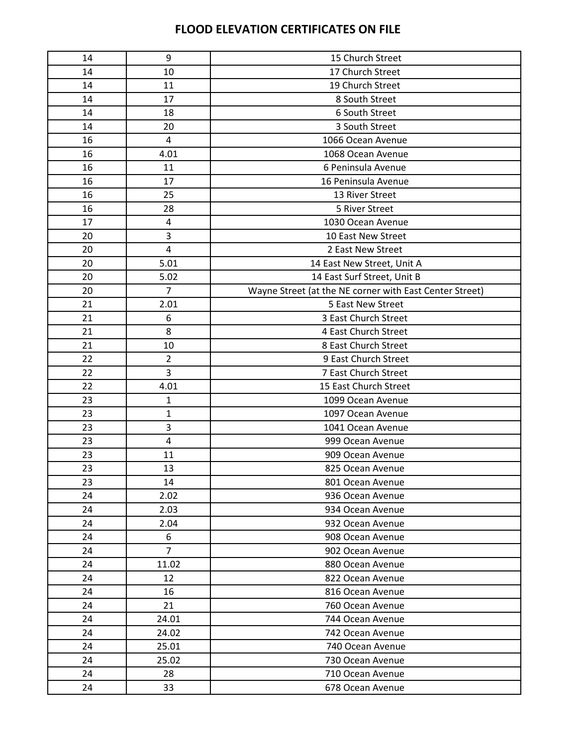| 14 | 9              | 15 Church Street                                        |
|----|----------------|---------------------------------------------------------|
| 14 | 10             | 17 Church Street                                        |
| 14 | 11             | 19 Church Street                                        |
| 14 | 17             | 8 South Street                                          |
| 14 | 18             | 6 South Street                                          |
| 14 | 20             | 3 South Street                                          |
| 16 | 4              | 1066 Ocean Avenue                                       |
| 16 | 4.01           | 1068 Ocean Avenue                                       |
| 16 | 11             | 6 Peninsula Avenue                                      |
| 16 | 17             | 16 Peninsula Avenue                                     |
| 16 | 25             | 13 River Street                                         |
| 16 | 28             | 5 River Street                                          |
| 17 | 4              | 1030 Ocean Avenue                                       |
| 20 | 3              | 10 East New Street                                      |
| 20 | 4              | 2 East New Street                                       |
| 20 | 5.01           | 14 East New Street, Unit A                              |
| 20 | 5.02           | 14 East Surf Street, Unit B                             |
| 20 | $\overline{7}$ | Wayne Street (at the NE corner with East Center Street) |
| 21 | 2.01           | 5 East New Street                                       |
| 21 | 6              | 3 East Church Street                                    |
| 21 | 8              | 4 East Church Street                                    |
| 21 | 10             | 8 East Church Street                                    |
| 22 | $\overline{2}$ | 9 East Church Street                                    |
| 22 | $\overline{3}$ | 7 East Church Street                                    |
| 22 | 4.01           | 15 East Church Street                                   |
| 23 | $\mathbf{1}$   | 1099 Ocean Avenue                                       |
| 23 | $\mathbf{1}$   | 1097 Ocean Avenue                                       |
| 23 | 3              | 1041 Ocean Avenue                                       |
| 23 | 4              | 999 Ocean Avenue                                        |
| 23 | 11             | 909 Ocean Avenue                                        |
| 23 | 13             | 825 Ocean Avenue                                        |
| 23 | 14             | 801 Ocean Avenue                                        |
| 24 | 2.02           | 936 Ocean Avenue                                        |
| 24 | 2.03           | 934 Ocean Avenue                                        |
| 24 | 2.04           | 932 Ocean Avenue                                        |
| 24 | 6              | 908 Ocean Avenue                                        |
| 24 | $\overline{7}$ | 902 Ocean Avenue                                        |
| 24 | 11.02          | 880 Ocean Avenue                                        |
| 24 | 12             | 822 Ocean Avenue                                        |
| 24 | 16             | 816 Ocean Avenue                                        |
| 24 | 21             | 760 Ocean Avenue                                        |
| 24 | 24.01          | 744 Ocean Avenue                                        |
| 24 | 24.02          | 742 Ocean Avenue                                        |
| 24 | 25.01          | 740 Ocean Avenue                                        |
| 24 | 25.02          | 730 Ocean Avenue                                        |
| 24 | 28             | 710 Ocean Avenue                                        |
| 24 | 33             | 678 Ocean Avenue                                        |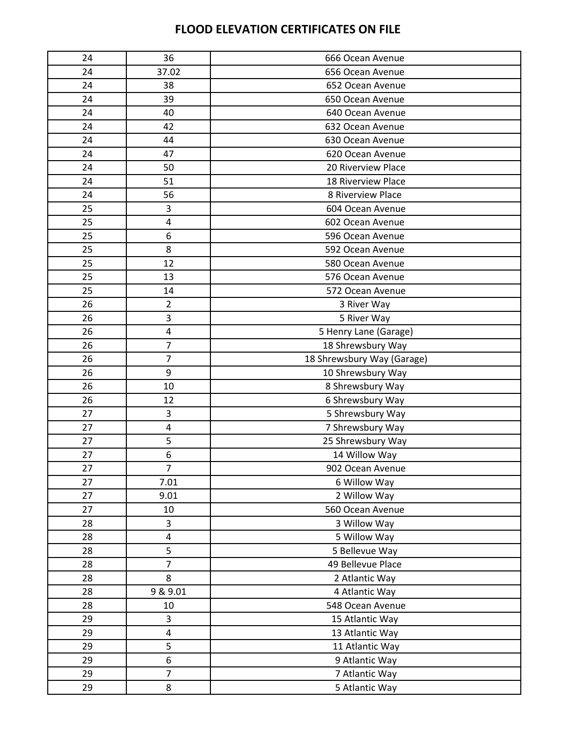| 24 | 36             | 666 Ocean Avenue           |
|----|----------------|----------------------------|
| 24 | 37.02          | 656 Ocean Avenue           |
| 24 | 38             | 652 Ocean Avenue           |
| 24 | 39             | 650 Ocean Avenue           |
| 24 | 40             | 640 Ocean Avenue           |
| 24 | 42             | 632 Ocean Avenue           |
| 24 | 44             | 630 Ocean Avenue           |
| 24 | 47             | 620 Ocean Avenue           |
| 24 | 50             | 20 Riverview Place         |
| 24 | 51             | 18 Riverview Place         |
| 24 | 56             | 8 Riverview Place          |
| 25 | 3              | 604 Ocean Avenue           |
| 25 | 4              | 602 Ocean Avenue           |
| 25 | 6              | 596 Ocean Avenue           |
| 25 | 8              | 592 Ocean Avenue           |
| 25 | 12             | 580 Ocean Avenue           |
| 25 | 13             | 576 Ocean Avenue           |
| 25 | 14             | 572 Ocean Avenue           |
| 26 | $\overline{2}$ | 3 River Way                |
| 26 | 3              | 5 River Way                |
| 26 | 4              | 5 Henry Lane (Garage)      |
| 26 | $\overline{7}$ | 18 Shrewsbury Way          |
| 26 | $\overline{7}$ | 18 Shrewsbury Way (Garage) |
| 26 | 9              | 10 Shrewsbury Way          |
| 26 | 10             | 8 Shrewsbury Way           |
| 26 | 12             | 6 Shrewsbury Way           |
| 27 | 3              | 5 Shrewsbury Way           |
| 27 | 4              | 7 Shrewsbury Way           |
| 27 | 5              | 25 Shrewsbury Way          |
| 27 | 6              | 14 Willow Way              |
| 27 | $\overline{7}$ | 902 Ocean Avenue           |
| 27 | 7.01           | 6 Willow Way               |
| 27 | 9.01           | 2 Willow Way               |
| 27 | 10             | 560 Ocean Avenue           |
| 28 | 3              | 3 Willow Way               |
| 28 | 4              | 5 Willow Way               |
| 28 | 5              | 5 Bellevue Way             |
| 28 | $\overline{7}$ | 49 Bellevue Place          |
| 28 | 8              | 2 Atlantic Way             |
| 28 | 9 & 9.01       | 4 Atlantic Way             |
| 28 | 10             | 548 Ocean Avenue           |
| 29 | 3              | 15 Atlantic Way            |
| 29 | 4              | 13 Atlantic Way            |
| 29 | 5              | 11 Atlantic Way            |
| 29 | 6              | 9 Atlantic Way             |
| 29 | $\overline{7}$ | 7 Atlantic Way             |
| 29 | 8              | 5 Atlantic Way             |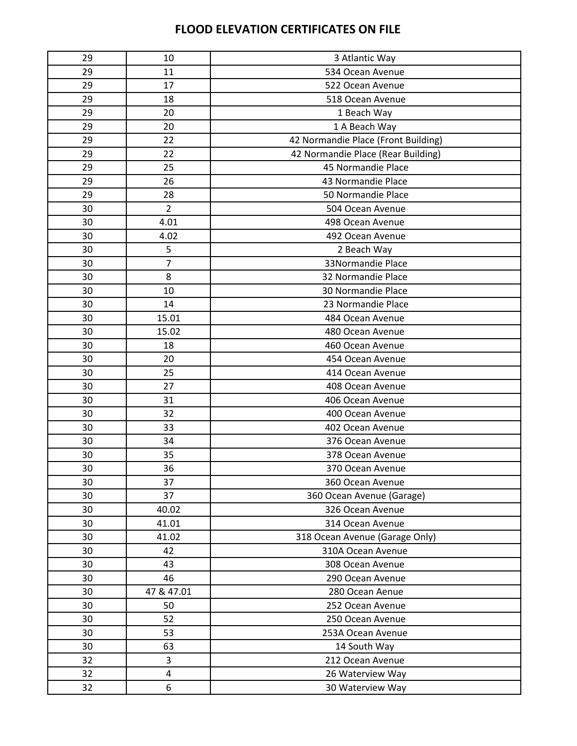| 29 | 10             | 3 Atlantic Way                      |
|----|----------------|-------------------------------------|
| 29 | 11             | 534 Ocean Avenue                    |
| 29 | 17             | 522 Ocean Avenue                    |
| 29 | 18             | 518 Ocean Avenue                    |
| 29 | 20             | 1 Beach Way                         |
| 29 | 20             | 1 A Beach Way                       |
| 29 | 22             | 42 Normandie Place (Front Building) |
| 29 | 22             | 42 Normandie Place (Rear Building)  |
| 29 | 25             | 45 Normandie Place                  |
| 29 | 26             | 43 Normandie Place                  |
| 29 | 28             | 50 Normandie Place                  |
| 30 | $\overline{2}$ | 504 Ocean Avenue                    |
| 30 | 4.01           | 498 Ocean Avenue                    |
| 30 | 4.02           | 492 Ocean Avenue                    |
| 30 | 5              | 2 Beach Way                         |
| 30 | $\overline{7}$ | 33Normandie Place                   |
| 30 | 8              | 32 Normandie Place                  |
| 30 | 10             | 30 Normandie Place                  |
| 30 | 14             | 23 Normandie Place                  |
| 30 | 15.01          | 484 Ocean Avenue                    |
| 30 | 15.02          | 480 Ocean Avenue                    |
| 30 | 18             | 460 Ocean Avenue                    |
| 30 | 20             | 454 Ocean Avenue                    |
| 30 | 25             | 414 Ocean Avenue                    |
| 30 | 27             | 408 Ocean Avenue                    |
| 30 | 31             | 406 Ocean Avenue                    |
| 30 | 32             | 400 Ocean Avenue                    |
| 30 | 33             | 402 Ocean Avenue                    |
| 30 | 34             | 376 Ocean Avenue                    |
| 30 | 35             | 378 Ocean Avenue                    |
| 30 | 36             | 370 Ocean Avenue                    |
| 30 | 37             | 360 Ocean Avenue                    |
| 30 | 37             | 360 Ocean Avenue (Garage)           |
| 30 | 40.02          | 326 Ocean Avenue                    |
| 30 | 41.01          | 314 Ocean Avenue                    |
| 30 | 41.02          | 318 Ocean Avenue (Garage Only)      |
| 30 | 42             | 310A Ocean Avenue                   |
| 30 | 43             | 308 Ocean Avenue                    |
| 30 | 46             | 290 Ocean Avenue                    |
| 30 | 47 & 47.01     | 280 Ocean Aenue                     |
| 30 | 50             | 252 Ocean Avenue                    |
| 30 | 52             | 250 Ocean Avenue                    |
| 30 | 53             | 253A Ocean Avenue                   |
| 30 | 63             | 14 South Way                        |
| 32 | 3              | 212 Ocean Avenue                    |
| 32 | 4              | 26 Waterview Way                    |
| 32 | 6              | 30 Waterview Way                    |